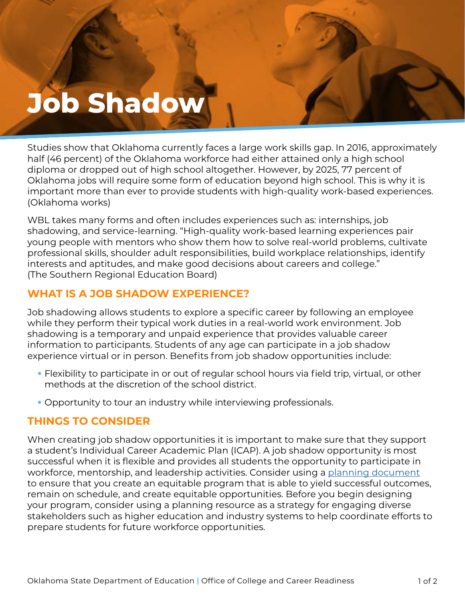# **Job Shadow**

**Job Shadows** 

Studies show that Oklahoma currently faces a large work skills gap. In 2016, approximately half (46 percent) of the Oklahoma workforce had either attained only a high school diploma or dropped out of high school altogether. However, by 2025, 77 percent of Oklahoma jobs will require some form of education beyond high school. This is why it is important more than ever to provide students with high-quality work-based experiences. (Oklahoma works)

WBL takes many forms and often includes experiences such as: internships, job shadowing, and service-learning. "High-quality work-based learning experiences pair young people with mentors who show them how to solve real-world problems, cultivate professional skills, shoulder adult responsibilities, build workplace relationships, identify interests and aptitudes, and make good decisions about careers and college." (The Southern Regional Education Board)

# **WHAT IS A JOB SHADOW EXPERIENCE?**

Job shadowing allows students to explore a specific career by following an employee while they perform their typical work duties in a real-world work environment. Job shadowing is a temporary and unpaid experience that provides valuable career information to participants. Students of any age can participate in a job shadow experience virtual or in person. Benefits from job shadow opportunities include:

- Flexibility to participate in or out of regular school hours via field trip, virtual, or other methods at the discretion of the school district.
- Opportunity to tour an industry while interviewing professionals.

# **THINGS TO CONSIDER**

When creating job shadow opportunities it is important to make sure that they support a student's Individual Career Academic Plan (ICAP). A job shadow opportunity is most successful when it is flexible and provides all students the opportunity to participate in workforce, mentorship, and leadership activities. Consider using a [planning document](https://www.okedge.com/industry-engagement-action-planner-fillable-form47/) to ensure that you create an equitable program that is able to yield successful outcomes, remain on schedule, and create equitable opportunities. Before you begin designing your program, consider using a planning resource as a strategy for engaging diverse stakeholders such as higher education and industry systems to help coordinate efforts to prepare students for future workforce opportunities.